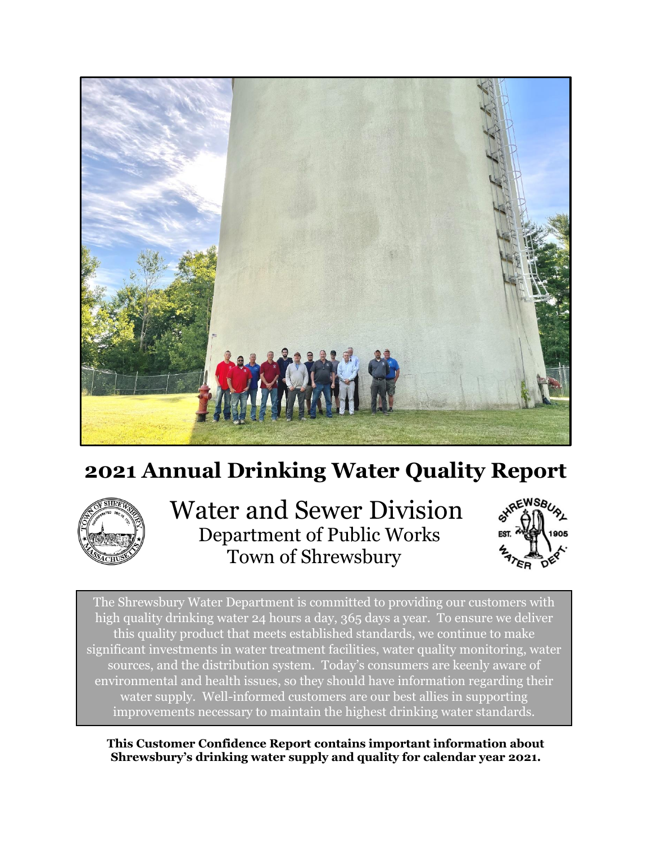

# **2021 Annual Drinking Water Quality Report**



 Water and Sewer Division Department of Public Works Town of Shrewsbury



The Shrewsbury Water Department is committed to providing our customers with high quality drinking water 24 hours a day, 365 days a year. To ensure we deliver this quality product that meets established standards, we continue to make significant investments in water treatment facilities, water quality monitoring, water sources, and the distribution system. Today's consumers are keenly aware of environmental and health issues, so they should have information regarding their water supply. Well-informed customers are our best allies in supporting improvements necessary to maintain the highest drinking water standards.

**This Customer Confidence Report contains important information about Shrewsbury's drinking water supply and quality for calendar year 2021.**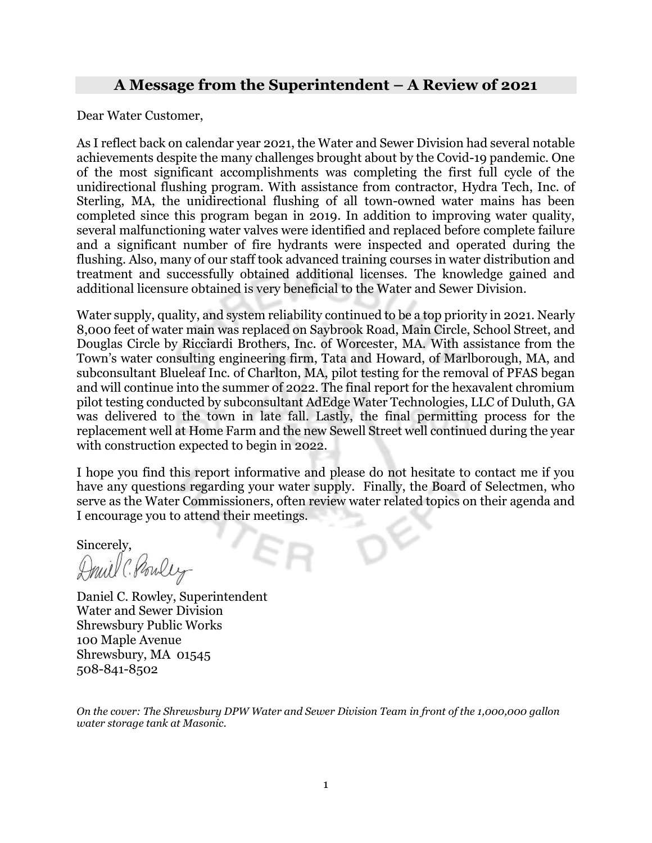## **A Message from the Superintendent – A Review of 2021**

Dear Water Customer,

As I reflect back on calendar year 2021, the Water and Sewer Division had several notable achievements despite the many challenges brought about by the Covid-19 pandemic. One of the most significant accomplishments was completing the first full cycle of the unidirectional flushing program. With assistance from contractor, Hydra Tech, Inc. of Sterling, MA, the unidirectional flushing of all town-owned water mains has been completed since this program began in 2019. In addition to improving water quality, several malfunctioning water valves were identified and replaced before complete failure and a significant number of fire hydrants were inspected and operated during the flushing. Also, many of our staff took advanced training courses in water distribution and treatment and successfully obtained additional licenses. The knowledge gained and additional licensure obtained is very beneficial to the Water and Sewer Division.

Water supply, quality, and system reliability continued to be a top priority in 2021. Nearly 8,000 feet of water main was replaced on Saybrook Road, Main Circle, School Street, and Douglas Circle by Ricciardi Brothers, Inc. of Worcester, MA. With assistance from the Town's water consulting engineering firm, Tata and Howard, of Marlborough, MA, and subconsultant Blueleaf Inc. of Charlton, MA, pilot testing for the removal of PFAS began and will continue into the summer of 2022. The final report for the hexavalent chromium pilot testing conducted by subconsultant AdEdge Water Technologies, LLC of Duluth, GA was delivered to the town in late fall. Lastly, the final permitting process for the replacement well at Home Farm and the new Sewell Street well continued during the year with construction expected to begin in 2022.

I hope you find this report informative and please do not hesitate to contact me if you have any questions regarding your water supply. Finally, the Board of Selectmen, who serve as the Water Commissioners, often review water related topics on their agenda and I encourage you to attend their meetings.

Sincerely,

Druil C. Pouley

Daniel C. Rowley, Superintendent Water and Sewer Division Shrewsbury Public Works 100 Maple Avenue Shrewsbury, MA 01545 508-841-8502

*On the cover: The Shrewsbury DPW Water and Sewer Division Team in front of the 1,000,000 gallon water storage tank at Masonic.*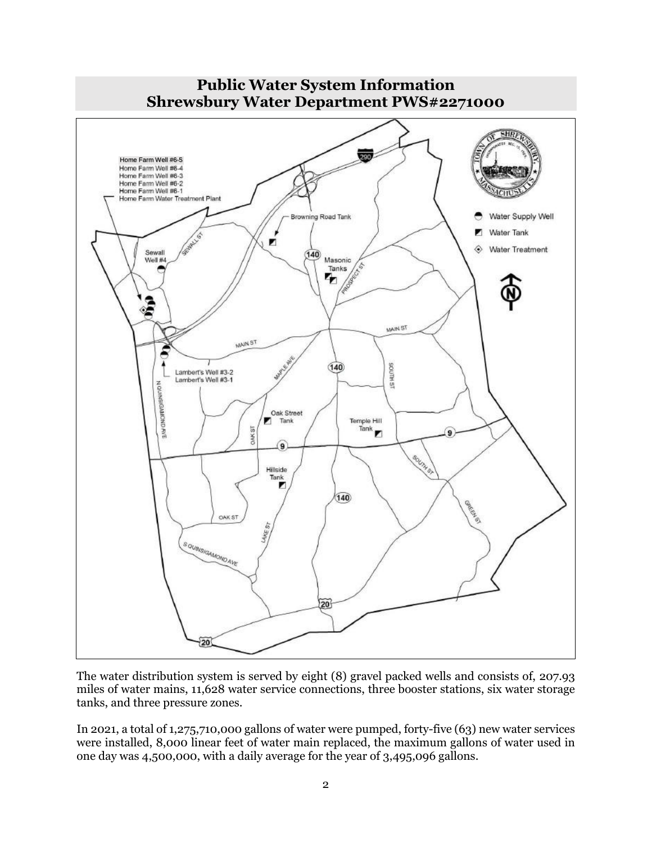

The water distribution system is served by eight (8) gravel packed wells and consists of, 207.93 miles of water mains, 11,628 water service connections, three booster stations, six water storage tanks, and three pressure zones.

In 2021, a total of 1,275,710,000 gallons of water were pumped, forty-five (63) new water services were installed, 8,000 linear feet of water main replaced, the maximum gallons of water used in one day was 4,500,000, with a daily average for the year of 3,495,096 gallons.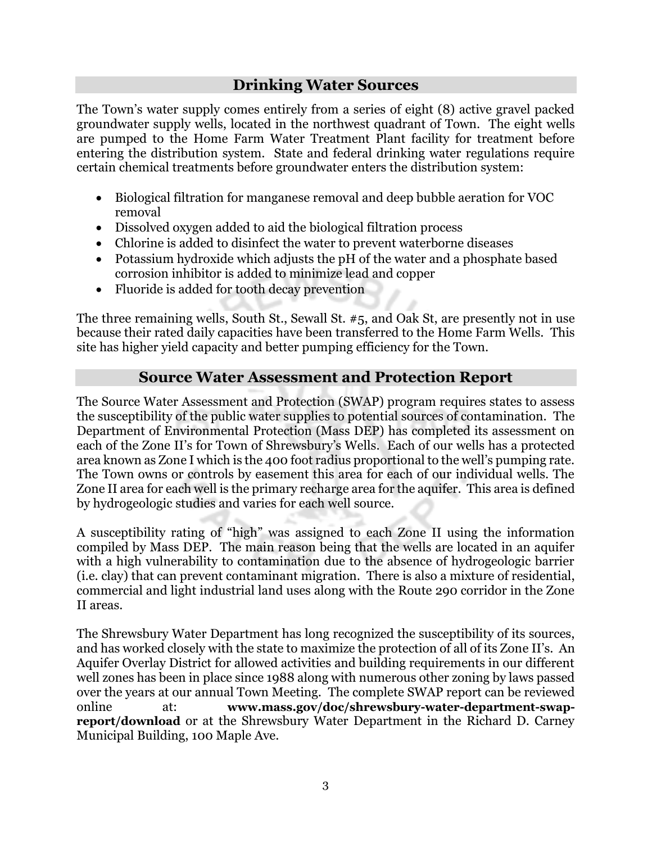## **Drinking Water Sources**

The Town's water supply comes entirely from a series of eight (8) active gravel packed groundwater supply wells, located in the northwest quadrant of Town. The eight wells are pumped to the Home Farm Water Treatment Plant facility for treatment before entering the distribution system. State and federal drinking water regulations require certain chemical treatments before groundwater enters the distribution system:

- Biological filtration for manganese removal and deep bubble aeration for VOC removal
- Dissolved oxygen added to aid the biological filtration process
- Chlorine is added to disinfect the water to prevent waterborne diseases
- Potassium hydroxide which adjusts the pH of the water and a phosphate based corrosion inhibitor is added to minimize lead and copper
- Fluoride is added for tooth decay prevention

The three remaining wells, South St., Sewall St. #5, and Oak St, are presently not in use because their rated daily capacities have been transferred to the Home Farm Wells. This site has higher yield capacity and better pumping efficiency for the Town.

## **Source Water Assessment and Protection Report**

The Source Water Assessment and Protection (SWAP) program requires states to assess the susceptibility of the public water supplies to potential sources of contamination. The Department of Environmental Protection (Mass DEP) has completed its assessment on each of the Zone II's for Town of Shrewsbury's Wells. Each of our wells has a protected area known as Zone I which is the 400 foot radius proportional to the well's pumping rate. The Town owns or controls by easement this area for each of our individual wells. The Zone II area for each well is the primary recharge area for the aquifer. This area is defined by hydrogeologic studies and varies for each well source.

A susceptibility rating of "high" was assigned to each Zone II using the information compiled by Mass DEP. The main reason being that the wells are located in an aquifer with a high vulnerability to contamination due to the absence of hydrogeologic barrier (i.e. clay) that can prevent contaminant migration. There is also a mixture of residential, commercial and light industrial land uses along with the Route 290 corridor in the Zone II areas.

The Shrewsbury Water Department has long recognized the susceptibility of its sources, and has worked closely with the state to maximize the protection of all of its Zone II's. An Aquifer Overlay District for allowed activities and building requirements in our different well zones has been in place since 1988 along with numerous other zoning by laws passed over the years at our annual Town Meeting. The complete SWAP report can be reviewed online at: **www.mass.gov/doc/shrewsbury-water-department-swapreport/download** or at the Shrewsbury Water Department in the Richard D. Carney Municipal Building, 100 Maple Ave.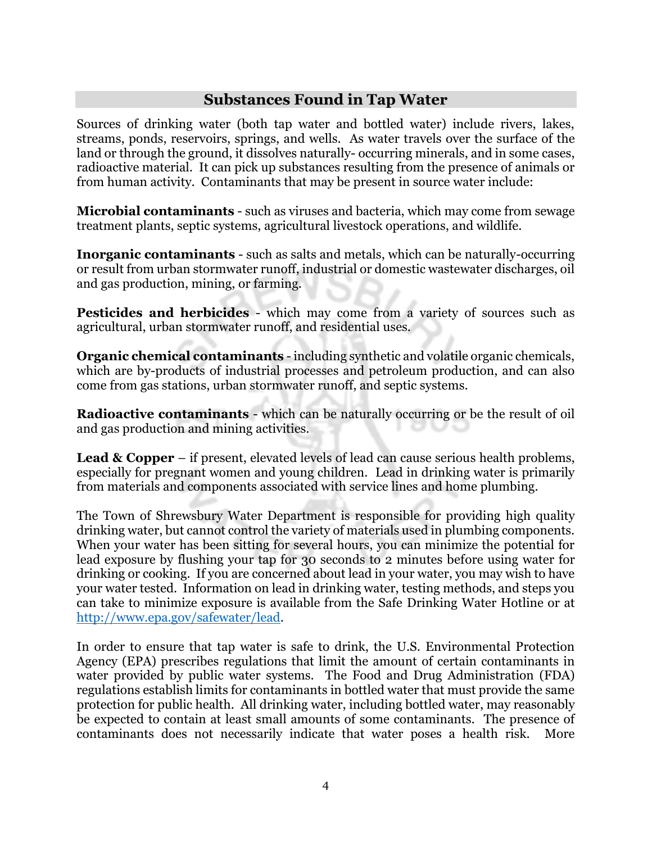## **Substances Found in Tap Water**

Sources of drinking water (both tap water and bottled water) include rivers, lakes, streams, ponds, reservoirs, springs, and wells. As water travels over the surface of the land or through the ground, it dissolves naturally- occurring minerals, and in some cases, radioactive material. It can pick up substances resulting from the presence of animals or from human activity. Contaminants that may be present in source water include:

**Microbial contaminants** - such as viruses and bacteria, which may come from sewage treatment plants, septic systems, agricultural livestock operations, and wildlife.

**Inorganic contaminants** - such as salts and metals, which can be naturally-occurring or result from urban stormwater runoff, industrial or domestic wastewater discharges, oil and gas production, mining, or farming.

**Pesticides and herbicides** - which may come from a variety of sources such as agricultural, urban stormwater runoff, and residential uses.

**Organic chemical contaminants** - including synthetic and volatile organic chemicals, which are by-products of industrial processes and petroleum production, and can also come from gas stations, urban stormwater runoff, and septic systems.

**Radioactive contaminants** - which can be naturally occurring or be the result of oil and gas production and mining activities.

**Lead & Copper** – if present, elevated levels of lead can cause serious health problems, especially for pregnant women and young children. Lead in drinking water is primarily from materials and components associated with service lines and home plumbing.

The Town of Shrewsbury Water Department is responsible for providing high quality drinking water, but cannot control the variety of materials used in plumbing components. When your water has been sitting for several hours, you can minimize the potential for lead exposure by flushing your tap for 30 seconds to 2 minutes before using water for drinking or cooking. If you are concerned about lead in your water, you may wish to have your water tested. Information on lead in drinking water, testing methods, and steps you can take to minimize exposure is available from the Safe Drinking Water Hotline or at [http://www.epa.gov/safewater/lead.](http://www.epa.gov/safewater/lead)

In order to ensure that tap water is safe to drink, the U.S. Environmental Protection Agency (EPA) prescribes regulations that limit the amount of certain contaminants in water provided by public water systems. The Food and Drug Administration (FDA) regulations establish limits for contaminants in bottled water that must provide the same protection for public health. All drinking water, including bottled water, may reasonably be expected to contain at least small amounts of some contaminants. The presence of contaminants does not necessarily indicate that water poses a health risk. More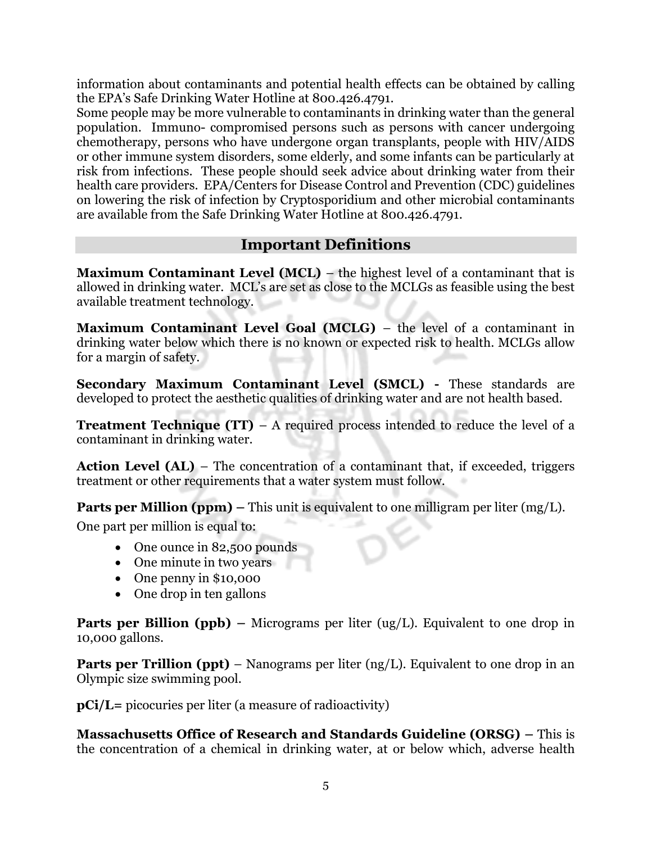information about contaminants and potential health effects can be obtained by calling the EPA's Safe Drinking Water Hotline at 800.426.4791.

Some people may be more vulnerable to contaminants in drinking water than the general population. Immuno- compromised persons such as persons with cancer undergoing chemotherapy, persons who have undergone organ transplants, people with HIV/AIDS or other immune system disorders, some elderly, and some infants can be particularly at risk from infections. These people should seek advice about drinking water from their health care providers. EPA/Centers for Disease Control and Prevention (CDC) guidelines on lowering the risk of infection by Cryptosporidium and other microbial contaminants are available from the Safe Drinking Water Hotline at 800.426.4791.

## **Important Definitions**

**Maximum Contaminant Level (MCL)** – the highest level of a contaminant that is allowed in drinking water. MCL's are set as close to the MCLGs as feasible using the best available treatment technology.

**Maximum Contaminant Level Goal (MCLG)** – the level of a contaminant in drinking water below which there is no known or expected risk to health. MCLGs allow for a margin of safety.

**Secondary Maximum Contaminant Level (SMCL) -** These standards are developed to protect the aesthetic qualities of drinking water and are not health based.

**Treatment Technique (TT)** – A required process intended to reduce the level of a contaminant in drinking water.

**Action Level (AL)** – The concentration of a contaminant that, if exceeded, triggers treatment or other requirements that a water system must follow.

**Parts per Million (ppm) –** This unit is equivalent to one milligram per liter (mg/L).

One part per million is equal to:

- One ounce in 82,500 pounds
- One minute in two years
- One penny in \$10,000
- One drop in ten gallons

**Parts per Billion (ppb) –** Micrograms per liter (ug/L). Equivalent to one drop in 10,000 gallons.

**Parts per Trillion (ppt)** – Nanograms per liter (ng/L). Equivalent to one drop in an Olympic size swimming pool.

**pCi/L=** picocuries per liter (a measure of radioactivity)

**Massachusetts Office of Research and Standards Guideline (ORSG) –** This is the concentration of a chemical in drinking water, at or below which, adverse health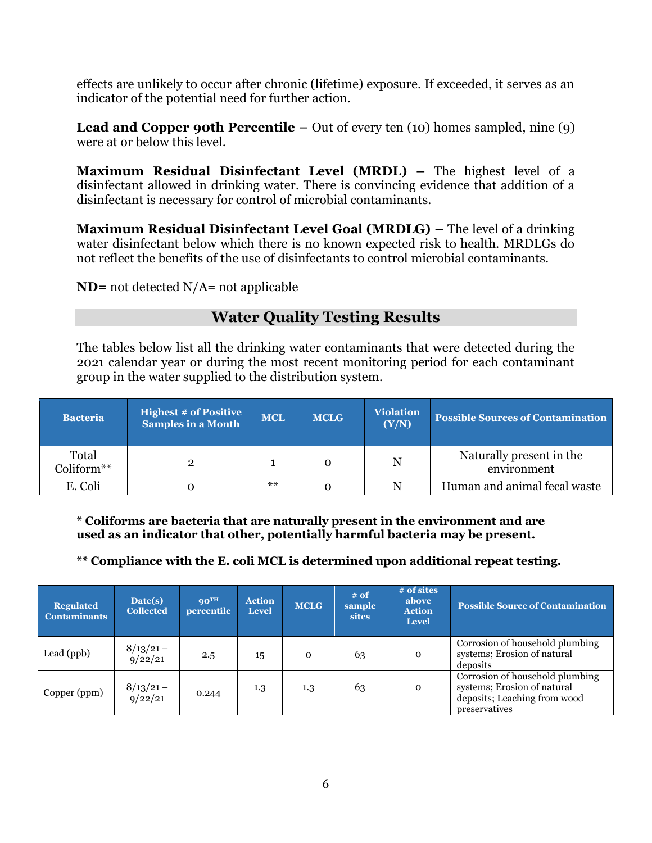effects are unlikely to occur after chronic (lifetime) exposure. If exceeded, it serves as an indicator of the potential need for further action.

**Lead and Copper 90th Percentile –** Out of every ten (10) homes sampled, nine (9) were at or below this level.

**Maximum Residual Disinfectant Level (MRDL) –** The highest level of a disinfectant allowed in drinking water. There is convincing evidence that addition of a disinfectant is necessary for control of microbial contaminants.

**Maximum Residual Disinfectant Level Goal (MRDLG) –** The level of a drinking water disinfectant below which there is no known expected risk to health. MRDLGs do not reflect the benefits of the use of disinfectants to control microbial contaminants.

**ND=** not detected N/A= not applicable

# **Water Quality Testing Results**

The tables below list all the drinking water contaminants that were detected during the 2021 calendar year or during the most recent monitoring period for each contaminant group in the water supplied to the distribution system.

| <b>Bacteria</b>     | <b>Highest # of Positive</b><br><b>Samples in a Month</b> | <b>MCL</b> | <b>MCLG</b> | <b>Violation</b><br>(Y/N) | <b>Possible Sources of Contamination</b> |
|---------------------|-----------------------------------------------------------|------------|-------------|---------------------------|------------------------------------------|
| Total<br>Coliform** |                                                           |            | 0           | N                         | Naturally present in the<br>environment  |
| E. Coli             |                                                           | $***$      |             | N                         | Human and animal fecal waste             |

**\* Coliforms are bacteria that are naturally present in the environment and are used as an indicator that other, potentially harmful bacteria may be present.** 

## **\*\* Compliance with the E. coli MCL is determined upon additional repeat testing.**

| <b>Regulated</b><br><b>Contaminants</b> | Date(s)<br><b>Collected</b> | $90^{\text{TH}}$<br>percentile | <b>Action</b><br><b>Level</b> | <b>MCLG</b> | $#$ of<br>sample<br><b>sites</b> | # of sites<br>above<br><b>Action</b><br><b>Level</b> | <b>Possible Source of Contamination</b>                                                                         |
|-----------------------------------------|-----------------------------|--------------------------------|-------------------------------|-------------|----------------------------------|------------------------------------------------------|-----------------------------------------------------------------------------------------------------------------|
| Lead (ppb)                              | $8/13/21 -$<br>9/22/21      | 2.5                            | 15                            | $\mathbf 0$ | 63                               | $\mathbf 0$                                          | Corrosion of household plumbing<br>systems; Erosion of natural<br>deposits                                      |
| Copper (ppm)                            | $8/13/21 -$<br>9/22/21      | 0.244                          | $1.3\,$                       | 1.3         | 63                               | $\mathbf 0$                                          | Corrosion of household plumbing<br>systems; Erosion of natural<br>deposits; Leaching from wood<br>preservatives |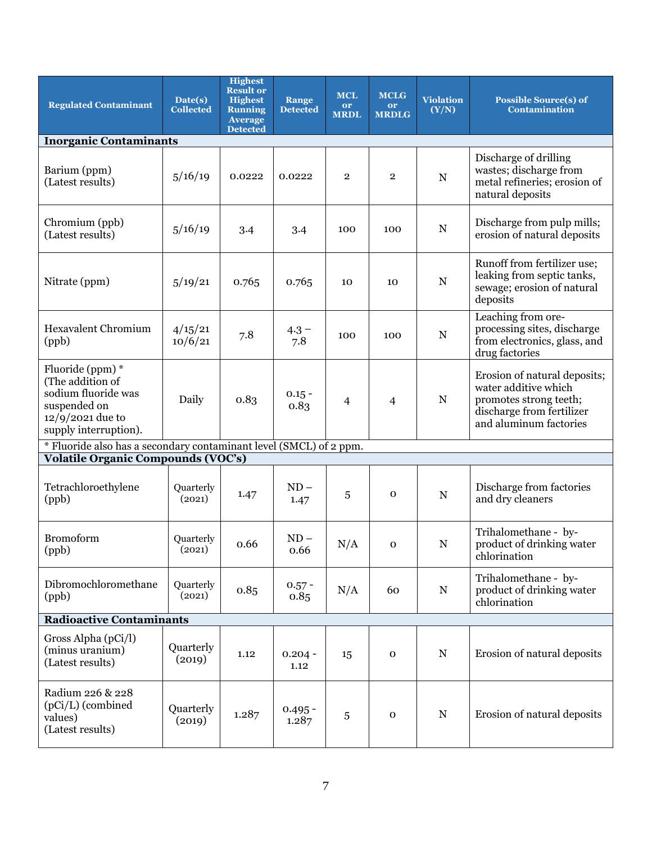| <b>Regulated Contaminant</b>                                                                                               | Date(s)<br><b>Collected</b> | <b>Highest</b><br><b>Result or</b><br><b>Highest</b><br><b>Running</b><br><b>Average</b><br><b>Detected</b> | Range<br><b>Detected</b> | <b>MCL</b><br>or<br><b>MRDL</b> | <b>MCLG</b><br>or<br><b>MRDLG</b> | <b>Violation</b><br>(Y/N) | <b>Possible Source(s) of</b><br><b>Contamination</b>                                                                                  |  |  |  |
|----------------------------------------------------------------------------------------------------------------------------|-----------------------------|-------------------------------------------------------------------------------------------------------------|--------------------------|---------------------------------|-----------------------------------|---------------------------|---------------------------------------------------------------------------------------------------------------------------------------|--|--|--|
| <b>Inorganic Contaminants</b>                                                                                              |                             |                                                                                                             |                          |                                 |                                   |                           |                                                                                                                                       |  |  |  |
| Barium (ppm)<br>(Latest results)                                                                                           | 5/16/19                     | 0.0222                                                                                                      | 0.0222                   | $\overline{2}$                  | $\overline{2}$                    | $\mathbf N$               | Discharge of drilling<br>wastes; discharge from<br>metal refineries; erosion of<br>natural deposits                                   |  |  |  |
| Chromium (ppb)<br>(Latest results)                                                                                         | 5/16/19                     | 3.4                                                                                                         | 3.4                      | 100                             | 100                               | ${\bf N}$                 | Discharge from pulp mills;<br>erosion of natural deposits                                                                             |  |  |  |
| Nitrate (ppm)                                                                                                              | 5/19/21                     | 0.765                                                                                                       | 0.765                    | 10                              | 10                                | $\mathbf N$               | Runoff from fertilizer use;<br>leaking from septic tanks,<br>sewage; erosion of natural<br>deposits                                   |  |  |  |
| <b>Hexavalent Chromium</b><br>(ppb)                                                                                        | 4/15/21<br>10/6/21          | 7.8                                                                                                         | $4.3 -$<br>7.8           | 100                             | 100                               | $\mathbf N$               | Leaching from ore-<br>processing sites, discharge<br>from electronics, glass, and<br>drug factories                                   |  |  |  |
| Fluoride (ppm) *<br>(The addition of<br>sodium fluoride was<br>suspended on<br>$12/9/2021$ due to<br>supply interruption). | Daily                       | 0.83                                                                                                        | $0.15 -$<br>0.83         | 4                               | $\overline{\mathcal{A}}$          | ${\bf N}$                 | Erosion of natural deposits;<br>water additive which<br>promotes strong teeth;<br>discharge from fertilizer<br>and aluminum factories |  |  |  |
| * Fluoride also has a secondary contaminant level (SMCL) of 2 ppm.                                                         |                             |                                                                                                             |                          |                                 |                                   |                           |                                                                                                                                       |  |  |  |
| <b>Volatile Organic Compounds (VOC's)</b>                                                                                  |                             |                                                                                                             |                          |                                 |                                   |                           |                                                                                                                                       |  |  |  |
| Tetrachloroethylene<br>(ppb)                                                                                               | Quarterly<br>(2021)         | 1.47                                                                                                        | $ND -$<br>1.47           | 5                               | $\mathbf 0$                       | ${\bf N}$                 | Discharge from factories<br>and dry cleaners                                                                                          |  |  |  |
| <b>Bromoform</b><br>(ppb)                                                                                                  | Quarterly<br>(2021)         | 0.66                                                                                                        | $ND -$<br>0.66           | N/A                             | $\mathbf 0$                       | ${\bf N}$                 | Trihalomethane - by-<br>product of drinking water<br>chlorination                                                                     |  |  |  |
| Dibromochloromethane<br>(ppb)                                                                                              | Quarterly<br>(2021)         | 0.85                                                                                                        | $0.57 -$<br>0.85         | N/A                             | 60                                | ${\bf N}$                 | Trihalomethane - by-<br>product of drinking water<br>chlorination                                                                     |  |  |  |
| <b>Radioactive Contaminants</b>                                                                                            |                             |                                                                                                             |                          |                                 |                                   |                           |                                                                                                                                       |  |  |  |
| Gross Alpha (pCi/l)<br>(minus uranium)<br>(Latest results)                                                                 | Quarterly<br>(2019)         | 1.12                                                                                                        | $0.204 -$<br>1.12        | 15                              | $\mathbf O$                       | N                         | Erosion of natural deposits                                                                                                           |  |  |  |
| Radium 226 & 228<br>(pCi/L) (combined<br>values)<br>(Latest results)                                                       | Quarterly<br>(2019)         | 1.287                                                                                                       | $0.495 -$<br>1.287       | $\sqrt{5}$                      | $\mathbf 0$                       | $\mathbf N$               | Erosion of natural deposits                                                                                                           |  |  |  |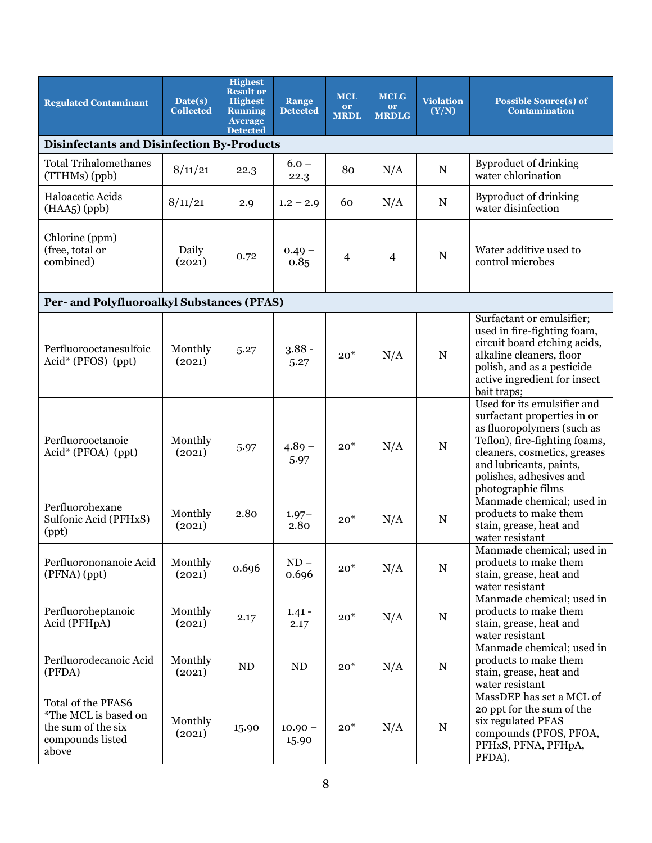| <b>Regulated Contaminant</b>                                                                  | Date(s)<br><b>Collected</b>                       | <b>Highest</b><br><b>Result or</b><br><b>Highest</b><br><b>Running</b><br><b>Average</b><br><b>Detected</b> | <b>Range</b><br><b>Detected</b> | <b>MCL</b><br>or<br><b>MRDL</b> | <b>MCLG</b><br>or<br><b>MRDLG</b> | <b>Violation</b><br>(Y/N) | <b>Possible Source(s) of</b><br><b>Contamination</b>                                                                                                                                                                                  |  |  |  |
|-----------------------------------------------------------------------------------------------|---------------------------------------------------|-------------------------------------------------------------------------------------------------------------|---------------------------------|---------------------------------|-----------------------------------|---------------------------|---------------------------------------------------------------------------------------------------------------------------------------------------------------------------------------------------------------------------------------|--|--|--|
|                                                                                               | <b>Disinfectants and Disinfection By-Products</b> |                                                                                                             |                                 |                                 |                                   |                           |                                                                                                                                                                                                                                       |  |  |  |
| <b>Total Trihalomethanes</b><br>(TTHMs) (ppb)                                                 | 8/11/21                                           | 22.3                                                                                                        | $6.0 -$<br>22.3                 | 80                              | N/A                               | $\mathbf N$               | <b>Byproduct of drinking</b><br>water chlorination                                                                                                                                                                                    |  |  |  |
| Haloacetic Acids<br>$(HAA5)$ (ppb)                                                            | 8/11/21                                           | 2.9                                                                                                         | $1.2 - 2.9$                     | 60                              | N/A                               | ${\bf N}$                 | <b>Byproduct of drinking</b><br>water disinfection                                                                                                                                                                                    |  |  |  |
| Chlorine (ppm)<br>(free, total or<br>combined)                                                | Daily<br>(2021)                                   | 0.72                                                                                                        | $0.49 -$<br>0.85                | 4                               | $\overline{4}$                    | ${\bf N}$                 | Water additive used to<br>control microbes                                                                                                                                                                                            |  |  |  |
| Per- and Polyfluoroalkyl Substances (PFAS)                                                    |                                                   |                                                                                                             |                                 |                                 |                                   |                           |                                                                                                                                                                                                                                       |  |  |  |
| Perfluorooctanesulfoic<br>$Acid^*$ (PFOS) (ppt)                                               | Monthly<br>(2021)                                 | 5.27                                                                                                        | $3.88 -$<br>5.27                | $20*$                           | N/A                               | ${\bf N}$                 | Surfactant or emulsifier;<br>used in fire-fighting foam,<br>circuit board etching acids,<br>alkaline cleaners, floor<br>polish, and as a pesticide<br>active ingredient for insect<br>bait traps;                                     |  |  |  |
| Perfluorooctanoic<br>Acid* (PFOA) (ppt)                                                       | Monthly<br>(2021)                                 | 5.97                                                                                                        | $4.89 -$<br>5.97                | $20*$                           | N/A                               | $\mathbf N$               | Used for its emulsifier and<br>surfactant properties in or<br>as fluoropolymers (such as<br>Teflon), fire-fighting foams,<br>cleaners, cosmetics, greases<br>and lubricants, paints,<br>polishes, adhesives and<br>photographic films |  |  |  |
| Perfluorohexane<br>Sulfonic Acid (PFHxS)<br>(ppt)                                             | Monthly<br>(2021)                                 | 2.80                                                                                                        | $1.97 -$<br>2.80                | $20*$                           | N/A                               | ${\bf N}$                 | Manmade chemical; used in<br>products to make them<br>stain, grease, heat and<br>water resistant                                                                                                                                      |  |  |  |
| Perfluorononanoic Acid<br>(PFNA) (ppt)                                                        | Monthly<br>(2021)                                 | 0.696                                                                                                       | $ND -$<br>0.696                 | $20*$                           | N/A                               | ${\bf N}$                 | Manmade chemical; used in<br>products to make them<br>stain, grease, heat and<br>water resistant                                                                                                                                      |  |  |  |
| Perfluoroheptanoic<br>Acid (PFHpA)                                                            | Monthly<br>(2021)                                 | 2.17                                                                                                        | $1.41 -$<br>2.17                | $20*$                           | N/A                               | ${\bf N}$                 | Manmade chemical; used in<br>products to make them<br>stain, grease, heat and<br>water resistant                                                                                                                                      |  |  |  |
| Perfluorodecanoic Acid<br>(PFDA)                                                              | Monthly<br>(2021)                                 | ND                                                                                                          | ND                              | $20*$                           | N/A                               | ${\bf N}$                 | Manmade chemical; used in<br>products to make them<br>stain, grease, heat and<br>water resistant                                                                                                                                      |  |  |  |
| Total of the PFAS6<br>*The MCL is based on<br>the sum of the six<br>compounds listed<br>above | Monthly<br>(2021)                                 | 15.90                                                                                                       | $10.90 -$<br>15.90              | $20*$                           | N/A                               | ${\bf N}$                 | MassDEP has set a MCL of<br>20 ppt for the sum of the<br>six regulated PFAS<br>compounds (PFOS, PFOA,<br>PFHxS, PFNA, PFHpA,<br>PFDA).                                                                                                |  |  |  |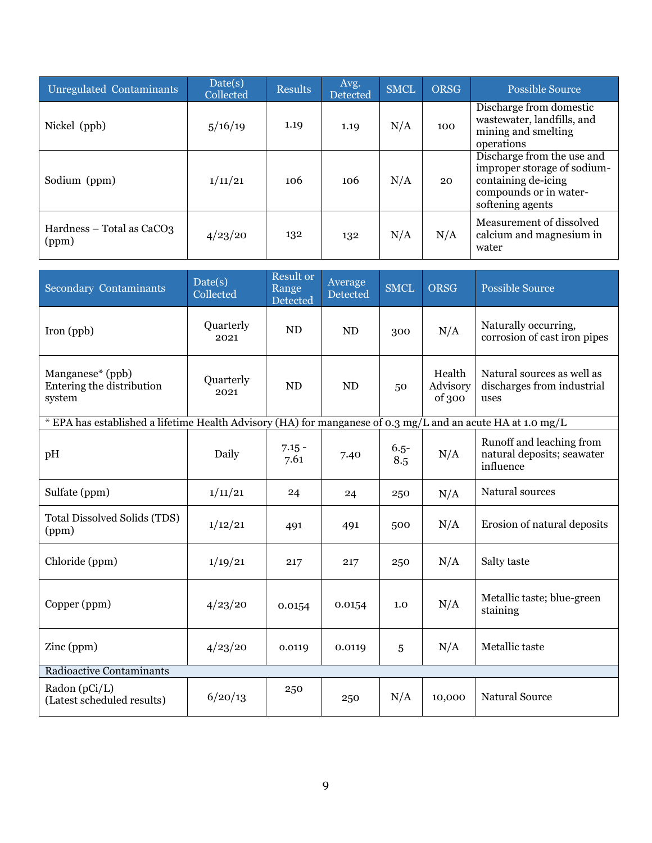| Unregulated Contaminants                       | Date(s)<br>Collected | <b>Results</b> | Avg.<br>Detected | <b>SMCL</b> | <b>ORSG</b> | <b>Possible Source</b>                                                                                                         |
|------------------------------------------------|----------------------|----------------|------------------|-------------|-------------|--------------------------------------------------------------------------------------------------------------------------------|
| Nickel (ppb)                                   | 5/16/19              | 1.19           | 1.19             | N/A         | 100         | Discharge from domestic<br>wastewater, landfills, and<br>mining and smelting<br>operations                                     |
| Sodium (ppm)                                   | 1/11/21              | 106            | 106              | N/A         | 20          | Discharge from the use and<br>improper storage of sodium-<br>containing de-icing<br>compounds or in water-<br>softening agents |
| Hardness – Total as CaCO <sub>3</sub><br>(ppm) | 4/23/20              | 132            | 132              | N/A         | N/A         | Measurement of dissolved<br>calcium and magnesium in<br>water                                                                  |

| <b>Secondary Contaminants</b>                                                                               | Date(s)<br>Collected | <b>Result or</b><br>Range<br>Detected | Average<br>Detected | <b>SMCL</b>    | <b>ORSG</b>                  | <b>Possible Source</b>                                              |  |  |  |
|-------------------------------------------------------------------------------------------------------------|----------------------|---------------------------------------|---------------------|----------------|------------------------------|---------------------------------------------------------------------|--|--|--|
| Iron (ppb)                                                                                                  | Quarterly<br>2021    | ND                                    | <b>ND</b>           | 300            | N/A                          | Naturally occurring,<br>corrosion of cast iron pipes                |  |  |  |
| Manganese* (ppb)<br>Entering the distribution<br>system                                                     | Quarterly<br>2021    | <b>ND</b>                             | <b>ND</b>           | 50             | Health<br>Advisory<br>of 300 | Natural sources as well as<br>discharges from industrial<br>uses    |  |  |  |
| * EPA has established a lifetime Health Advisory (HA) for manganese of 0.3 mg/L and an acute HA at 1.0 mg/L |                      |                                       |                     |                |                              |                                                                     |  |  |  |
| pH                                                                                                          | Daily                | $7.15 -$<br>7.61                      | 7.40                | $6.5 -$<br>8.5 | N/A                          | Runoff and leaching from<br>natural deposits; seawater<br>influence |  |  |  |
| Sulfate (ppm)                                                                                               | 1/11/21              | 24                                    | 24                  | 250            | N/A                          | Natural sources                                                     |  |  |  |
| Total Dissolved Solids (TDS)<br>(ppm)                                                                       | 1/12/21              | 491                                   | 491                 | 500            | N/A                          | Erosion of natural deposits                                         |  |  |  |
| Chloride (ppm)                                                                                              | 1/19/21              | 217                                   | 217                 | 250            | N/A                          | Salty taste                                                         |  |  |  |
| Copper (ppm)                                                                                                | 4/23/20              | 0.0154                                | 0.0154              | 1.0            | N/A                          | Metallic taste; blue-green<br>staining                              |  |  |  |
| Zinc (ppm)                                                                                                  | 4/23/20              | 0.0119                                | 0.0119              | 5              | N/A                          | Metallic taste                                                      |  |  |  |
| <b>Radioactive Contaminants</b>                                                                             |                      |                                       |                     |                |                              |                                                                     |  |  |  |
| Radon $(pCi/L)$<br>(Latest scheduled results)                                                               | 6/20/13              | 250                                   | 250                 | N/A            | 10,000                       | <b>Natural Source</b>                                               |  |  |  |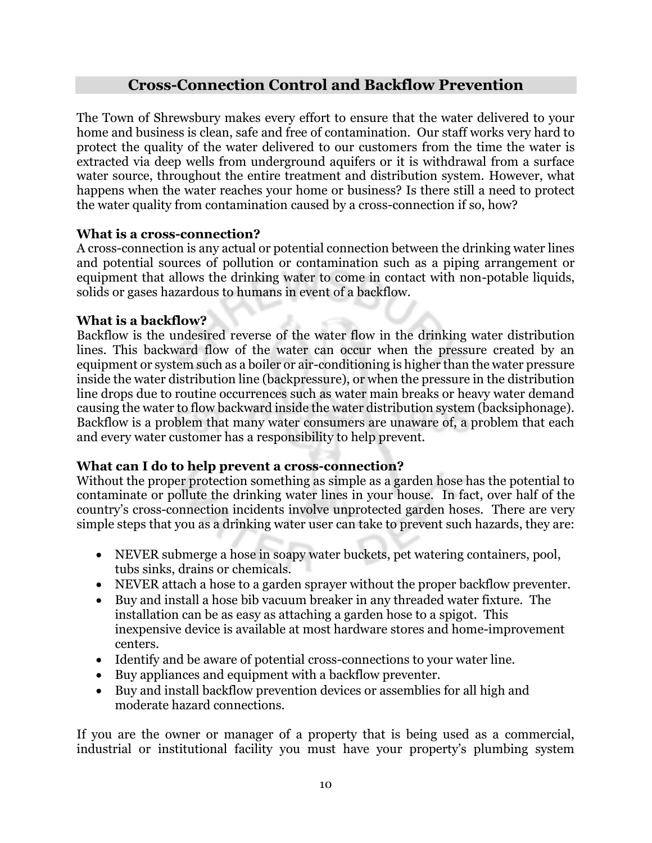## **Cross-Connection Control and Backflow Prevention**

The Town of Shrewsbury makes every effort to ensure that the water delivered to your home and business is clean, safe and free of contamination. Our staff works very hard to protect the quality of the water delivered to our customers from the time the water is extracted via deep wells from underground aquifers or it is withdrawal from a surface water source, throughout the entire treatment and distribution system. However, what happens when the water reaches your home or business? Is there still a need to protect the water quality from contamination caused by a cross-connection if so, how?

#### **What is a cross-connection?**

A cross-connection is any actual or potential connection between the drinking water lines and potential sources of pollution or contamination such as a piping arrangement or equipment that allows the drinking water to come in contact with non-potable liquids, solids or gases hazardous to humans in event of a backflow.

#### **What is a backflow?**

Backflow is the undesired reverse of the water flow in the drinking water distribution lines. This backward flow of the water can occur when the pressure created by an equipment or system such as a boiler or air-conditioning is higher than the water pressure inside the water distribution line (backpressure), or when the pressure in the distribution line drops due to routine occurrences such as water main breaks or heavy water demand causing the water to flow backward inside the water distribution system (backsiphonage). Backflow is a problem that many water consumers are unaware of, a problem that each and every water customer has a responsibility to help prevent.

## **What can I do to help prevent a cross-connection?**

Without the proper protection something as simple as a garden hose has the potential to contaminate or pollute the drinking water lines in your house. In fact, over half of the country's cross-connection incidents involve unprotected garden hoses. There are very simple steps that you as a drinking water user can take to prevent such hazards, they are:

- NEVER submerge a hose in soapy water buckets, pet watering containers, pool, tubs sinks, drains or chemicals.
- NEVER attach a hose to a garden sprayer without the proper backflow preventer.
- Buy and install a hose bib vacuum breaker in any threaded water fixture. The installation can be as easy as attaching a garden hose to a spigot. This inexpensive device is available at most hardware stores and home-improvement centers.
- Identify and be aware of potential cross-connections to your water line.
- Buy appliances and equipment with a backflow preventer.
- Buy and install backflow prevention devices or assemblies for all high and moderate hazard connections.

If you are the owner or manager of a property that is being used as a commercial, industrial or institutional facility you must have your property's plumbing system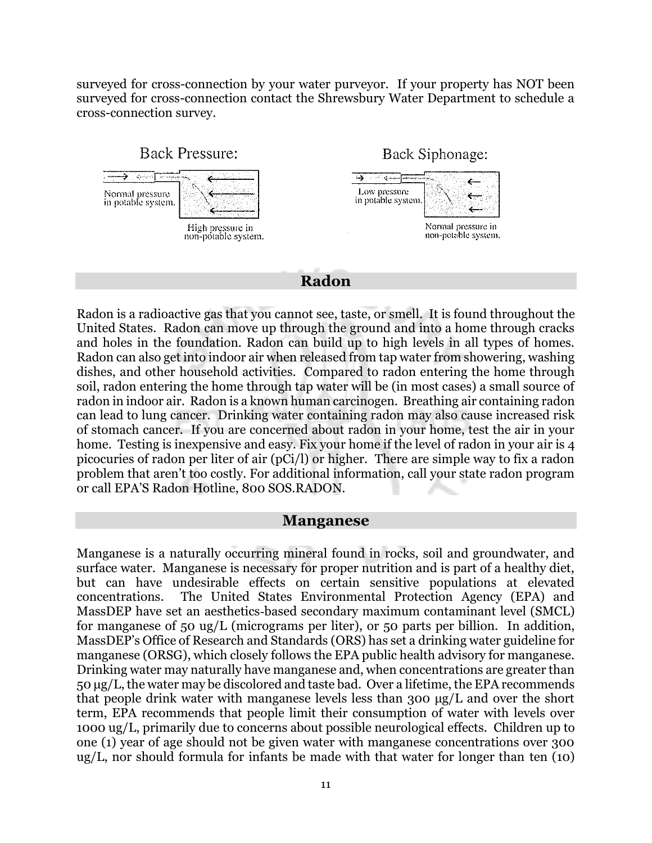surveyed for cross-connection by your water purveyor. If your property has NOT been surveyed for cross-connection contact the Shrewsbury Water Department to schedule a cross-connection survey.



**Radon**

Radon is a radioactive gas that you cannot see, taste, or smell. It is found throughout the United States. Radon can move up through the ground and into a home through cracks and holes in the foundation. Radon can build up to high levels in all types of homes. Radon can also get into indoor air when released from tap water from showering, washing dishes, and other household activities. Compared to radon entering the home through soil, radon entering the home through tap water will be (in most cases) a small source of radon in indoor air. Radon is a known human carcinogen. Breathing air containing radon can lead to lung cancer. Drinking water containing radon may also cause increased risk of stomach cancer. If you are concerned about radon in your home, test the air in your home. Testing is inexpensive and easy. Fix your home if the level of radon in your air is 4 picocuries of radon per liter of air (pCi/l) or higher. There are simple way to fix a radon problem that aren't too costly. For additional information, call your state radon program or call EPA'S Radon Hotline, 800 SOS.RADON.

#### **Manganese**

Manganese is a naturally occurring mineral found in rocks, soil and groundwater, and surface water. Manganese is necessary for proper nutrition and is part of a healthy diet, but can have undesirable effects on certain sensitive populations at elevated concentrations. The United States Environmental Protection Agency (EPA) and MassDEP have set an aesthetics‐based secondary maximum contaminant level (SMCL) for manganese of 50 ug/L (micrograms per liter), or 50 parts per billion. In addition, MassDEP's Office of Research and Standards (ORS) has set a drinking water guideline for manganese (ORSG), which closely follows the EPA public health advisory for manganese. Drinking water may naturally have manganese and, when concentrations are greater than 50 μg/L, the water may be discolored and taste bad. Over a lifetime, the EPA recommends that people drink water with manganese levels less than 300 μg/L and over the short term, EPA recommends that people limit their consumption of water with levels over 1000 ug/L, primarily due to concerns about possible neurological effects. Children up to one (1) year of age should not be given water with manganese concentrations over 300 ug/L, nor should formula for infants be made with that water for longer than ten (10)